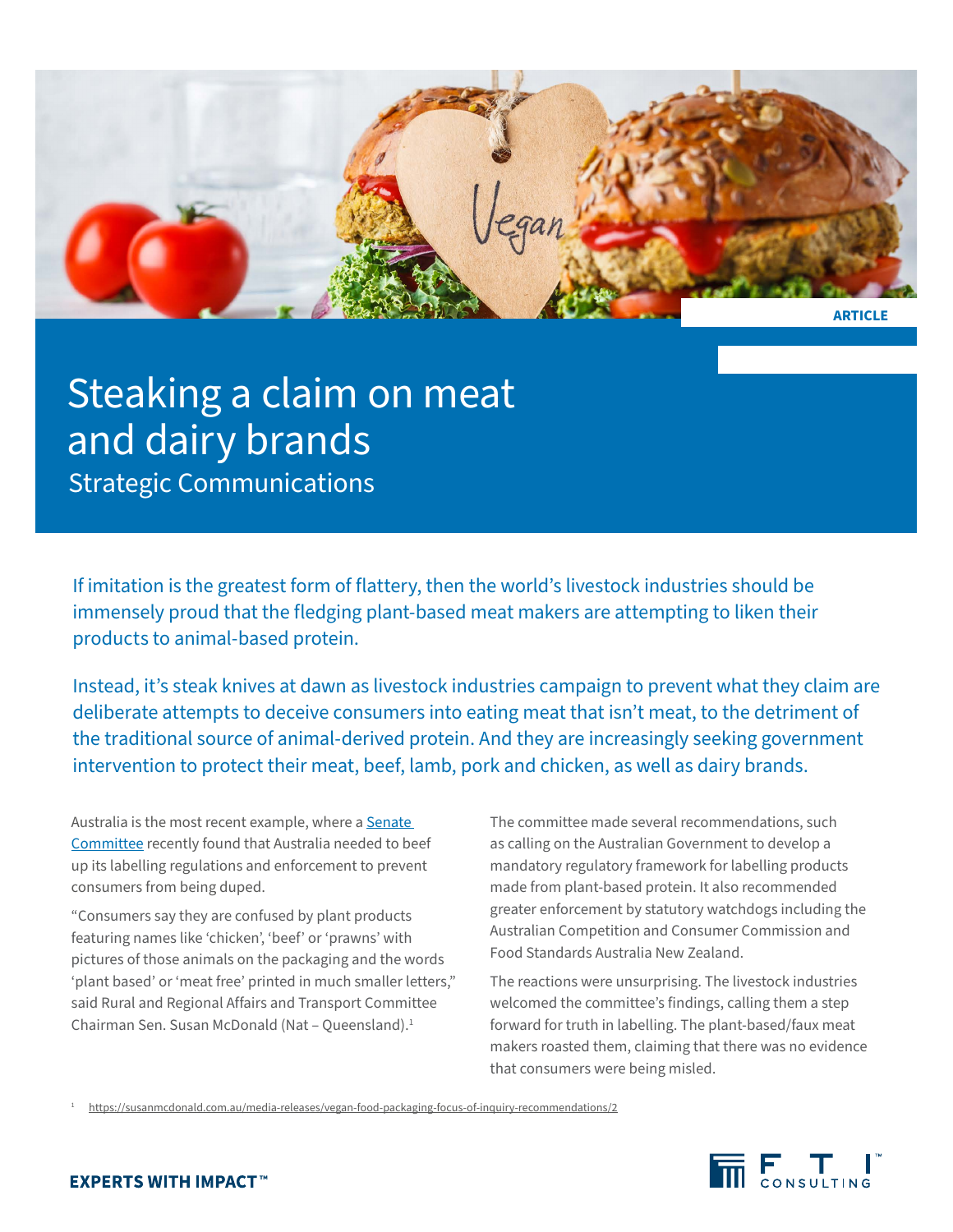

# Steaking a claim on meat and dairy brands

Strategic Communications

If imitation is the greatest form of flattery, then the world's livestock industries should be immensely proud that the fledging plant-based meat makers are attempting to liken their products to animal-based protein.

Instead, it's steak knives at dawn as livestock industries campaign to prevent what they claim are deliberate attempts to deceive consumers into eating meat that isn't meat, to the detriment of the traditional source of animal-derived protein. And they are increasingly seeking government intervention to protect their meat, beef, lamb, pork and chicken, as well as dairy brands.

Australia is the most recent example, where a Senate [Committee](https://www.aph.gov.au/Parliamentary_Business/Committees/Senate/Rural_and_Regional_Affairs_and_Transport/DefinitionsofMeat/Report) recently found that Australia needed to beef up its labelling regulations and enforcement to prevent consumers from being duped.

"Consumers say they are confused by plant products featuring names like 'chicken', 'beef' or 'prawns' with pictures of those animals on the packaging and the words 'plant based' or 'meat free' printed in much smaller letters," said Rural and Regional Affairs and Transport Committee Chairman Sen. Susan McDonald (Nat – Queensland).1

The committee made several recommendations, such as calling on the Australian Government to develop a mandatory regulatory framework for labelling products made from plant-based protein. It also recommended greater enforcement by statutory watchdogs including the Australian Competition and Consumer Commission and Food Standards Australia New Zealand.

The reactions were unsurprising. The livestock industries welcomed the committee's findings, calling them a step forward for truth in labelling. The plant-based/faux meat makers roasted them, claiming that there was no evidence that consumers were being misled.

<sup>1</sup> <https://susanmcdonald.com.au/media-releases/vegan-food-packaging-focus-of-inquiry-recommendations/2>

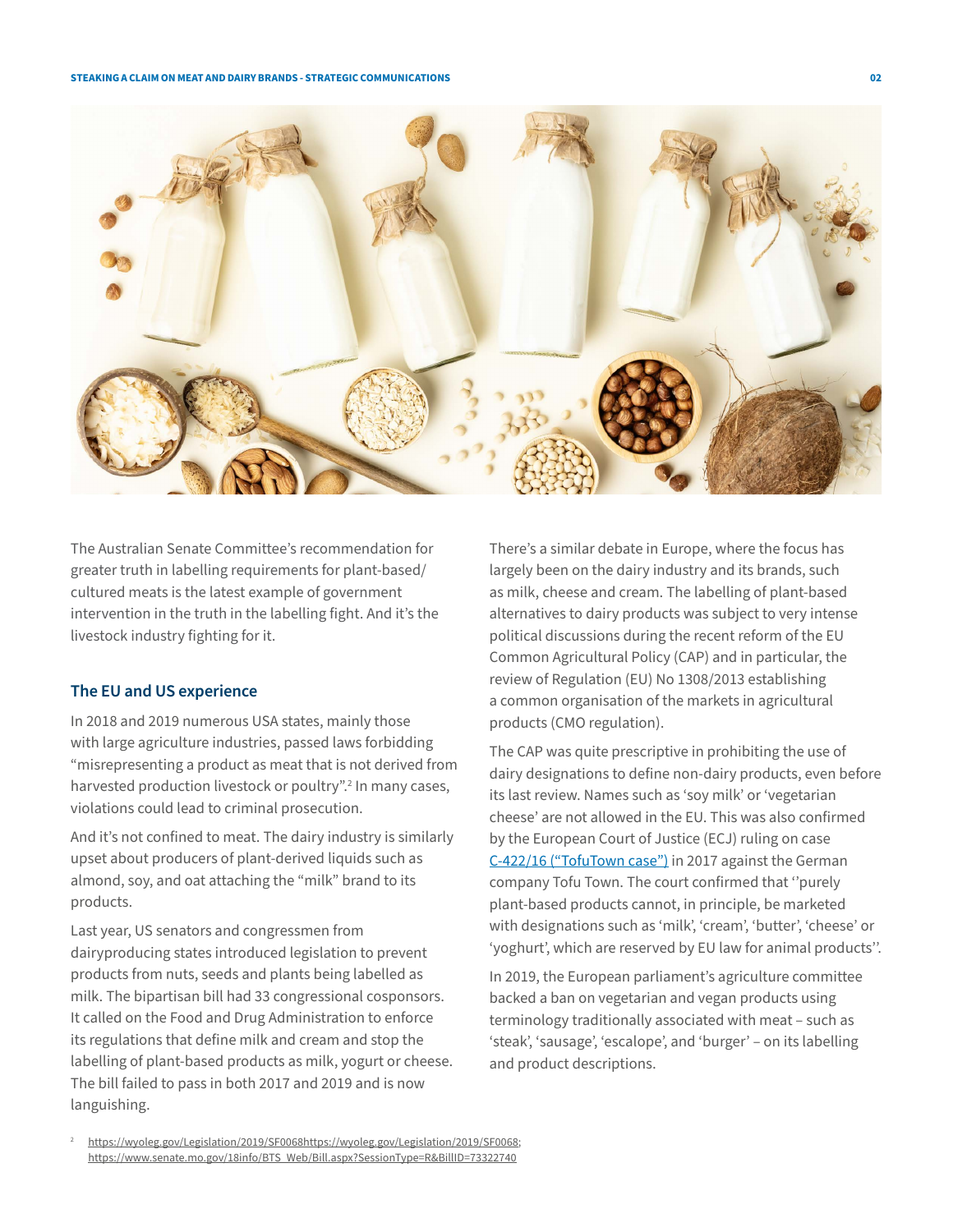

The Australian Senate Committee's recommendation for greater truth in labelling requirements for plant-based/ cultured meats is the latest example of government intervention in the truth in the labelling fight. And it's the livestock industry fighting for it.

## **The EU and US experience**

In 2018 and 2019 numerous USA states, mainly those with large agriculture industries, passed laws forbidding "misrepresenting a product as meat that is not derived from harvested production livestock or poultry".<sup>2</sup> In many cases, violations could lead to criminal prosecution.

And it's not confined to meat. The dairy industry is similarly upset about producers of plant-derived liquids such as almond, soy, and oat attaching the "milk" brand to its products.

Last year, US senators and congressmen from dairyproducing states introduced legislation to prevent products from nuts, seeds and plants being labelled as milk. The bipartisan bill had 33 congressional cosponsors. It called on the Food and Drug Administration to enforce its regulations that define milk and cream and stop the labelling of plant-based products as milk, yogurt or cheese. The bill failed to pass in both 2017 and 2019 and is now languishing.

There's a similar debate in Europe, where the focus has largely been on the dairy industry and its brands, such as milk, cheese and cream. The labelling of plant-based alternatives to dairy products was subject to very intense political discussions during the recent reform of the EU Common Agricultural Policy (CAP) and in particular, the review of Regulation (EU) No 1308/2013 establishing a common organisation of the markets in agricultural products (CMO regulation).

The CAP was quite prescriptive in prohibiting the use of dairy designations to define non-dairy products, even before its last review. Names such as 'soy milk' or 'vegetarian cheese' are not allowed in the EU. This was also confirmed by the European Court of Justice (ECJ) ruling on case [C-422/16 \("TofuTown case"\)](https://curia.europa.eu/jcms/upload/docs/application/pdf/2017-06/cp170063en.pdf) in 2017 against the German company Tofu Town. The court confirmed that ''purely plant-based products cannot, in principle, be marketed with designations such as 'milk', 'cream', 'butter', 'cheese' or 'yoghurt', which are reserved by EU law for animal products''.

In 2019, the European parliament's agriculture committee backed a ban on vegetarian and vegan products using terminology traditionally associated with meat – such as 'steak', 'sausage', 'escalope', and 'burger' – on its labelling and product descriptions.

<sup>2</sup> <https://wyoleg.gov/Legislation/2019/SF0068https://wyoleg.gov/Legislation/2019/SF0068>; [https://www.senate.mo.gov/18info/BTS\\_Web/Bill.aspx?SessionType=R&BillID=73322740](https://www.senate.mo.gov/18info/BTS_Web/Bill.aspx?SessionType=R&BillID=73322740)